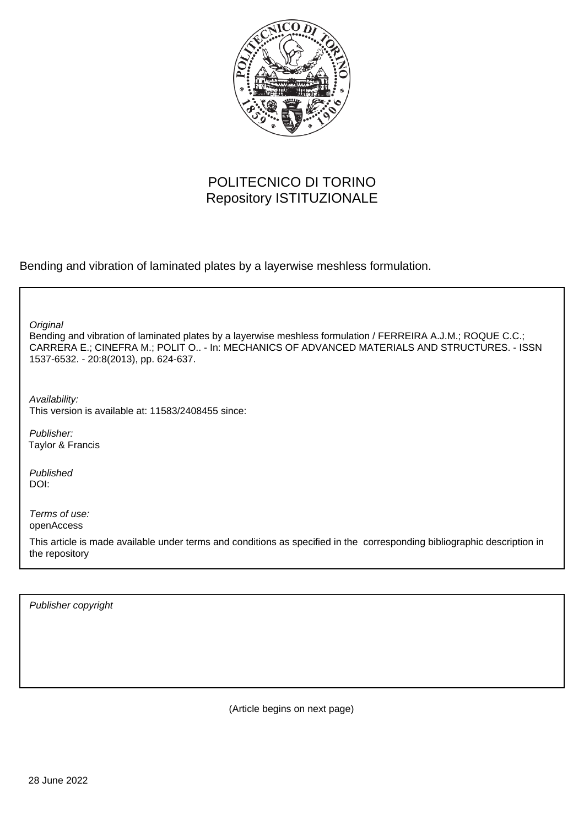

## POLITECNICO DI TORINO Repository ISTITUZIONALE

Bending and vibration of laminated plates by a layerwise meshless formulation.

**Original** 

Bending and vibration of laminated plates by a layerwise meshless formulation / FERREIRA A.J.M.; ROQUE C.C.; CARRERA E.; CINEFRA M.; POLIT O.. - In: MECHANICS OF ADVANCED MATERIALS AND STRUCTURES. - ISSN 1537-6532. - 20:8(2013), pp. 624-637.

Availability: This version is available at: 11583/2408455 since:

Publisher: Taylor & Francis

Published DOI:

Terms of use: openAccess

This article is made available under terms and conditions as specified in the corresponding bibliographic description in the repository

Publisher copyright

(Article begins on next page)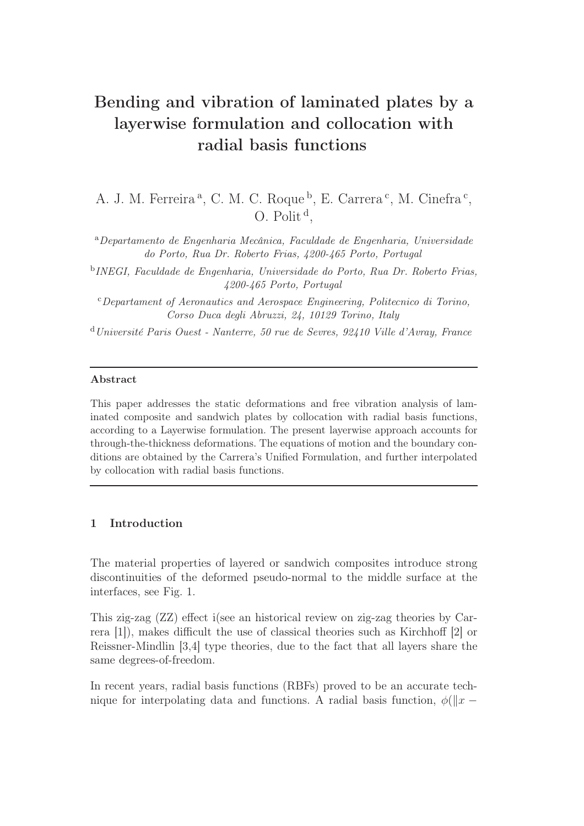# Bending and vibration of laminated plates by a layerwise formulation and collocation with radial basis functions

A. J. M. Ferreira<sup>a</sup>, C. M. C. Roque<sup>b</sup>, E. Carrera<sup>c</sup>, M. Cinefra<sup>c</sup>, O. Polit<sup> $d$ </sup>,

<sup>a</sup>*Departamento de Engenharia Mecânica, Faculdade de Engenharia, Universidade do Porto, Rua Dr. Roberto Frias, 4200-465 Porto, Portugal*

b *INEGI, Faculdade de Engenharia, Universidade do Porto, Rua Dr. Roberto Frias, 4200-465 Porto, Portugal*

<sup>c</sup>*Departament of Aeronautics and Aerospace Engineering, Politecnico di Torino, Corso Duca degli Abruzzi, 24, 10129 Torino, Italy*

<sup>d</sup>*Université Paris Ouest - Nanterre, 50 rue de Sevres, 92410 Ville d'Avray, France*

#### Abstract

This paper addresses the static deformations and free vibration analysis of laminated composite and sandwich plates by collocation with radial basis functions, according to a Layerwise formulation. The present layerwise approach accounts for through-the-thickness deformations. The equations of motion and the boundary conditions are obtained by the Carrera's Unified Formulation, and further interpolated by collocation with radial basis functions.

## 1 Introduction

The material properties of layered or sandwich composites introduce strong discontinuities of the deformed pseudo-normal to the middle surface at the interfaces, see Fig. 1.

This zig-zag (ZZ) effect i(see an historical review on zig-zag theories by Carrera [1]), makes difficult the use of classical theories such as Kirchhoff [2] or Reissner-Mindlin [3,4] type theories, due to the fact that all layers share the same degrees-of-freedom.

In recent years, radial basis functions (RBFs) proved to be an accurate technique for interpolating data and functions. A radial basis function,  $\phi(\Vert x - \Vert)$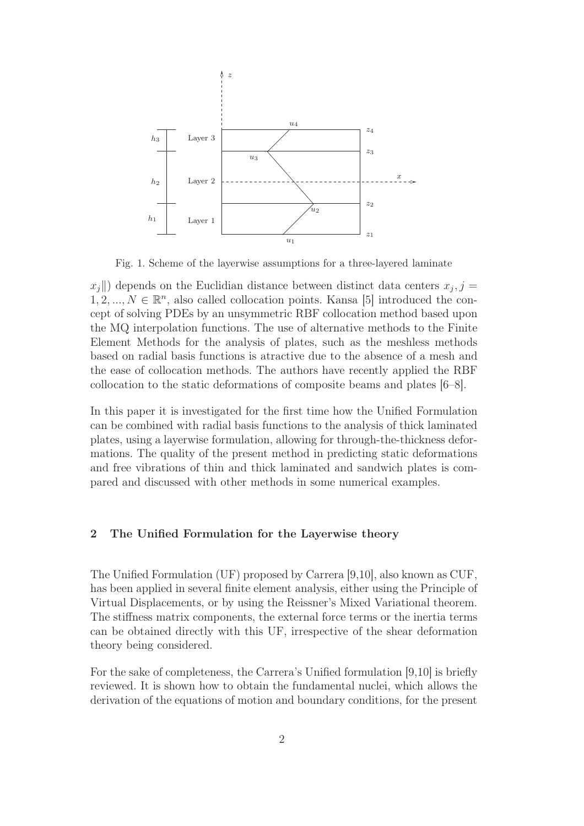

Fig. 1. Scheme of the layerwise assumptions for a three-layered laminate

 $x_j$ <sup> $\parallel$ </sup>) depends on the Euclidian distance between distinct data centers  $x_j$ ,  $j =$  $1, 2, ..., N \in \mathbb{R}^n$ , also called collocation points. Kansa [5] introduced the concept of solving PDEs by an unsymmetric RBF collocation method based upon the MQ interpolation functions. The use of alternative methods to the Finite Element Methods for the analysis of plates, such as the meshless methods based on radial basis functions is atractive due to the absence of a mesh and the ease of collocation methods. The authors have recently applied the RBF collocation to the static deformations of composite beams and plates [6–8].

In this paper it is investigated for the first time how the Unified Formulation can be combined with radial basis functions to the analysis of thick laminated plates, using a layerwise formulation, allowing for through-the-thickness deformations. The quality of the present method in predicting static deformations and free vibrations of thin and thick laminated and sandwich plates is compared and discussed with other methods in some numerical examples.

## 2 The Unified Formulation for the Layerwise theory

The Unified Formulation (UF) proposed by Carrera [9,10], also known as CUF, has been applied in several finite element analysis, either using the Principle of Virtual Displacements, or by using the Reissner's Mixed Variational theorem. The stiffness matrix components, the external force terms or the inertia terms can be obtained directly with this UF, irrespective of the shear deformation theory being considered.

For the sake of completeness, the Carrera's Unified formulation [9,10] is briefly reviewed. It is shown how to obtain the fundamental nuclei, which allows the derivation of the equations of motion and boundary conditions, for the present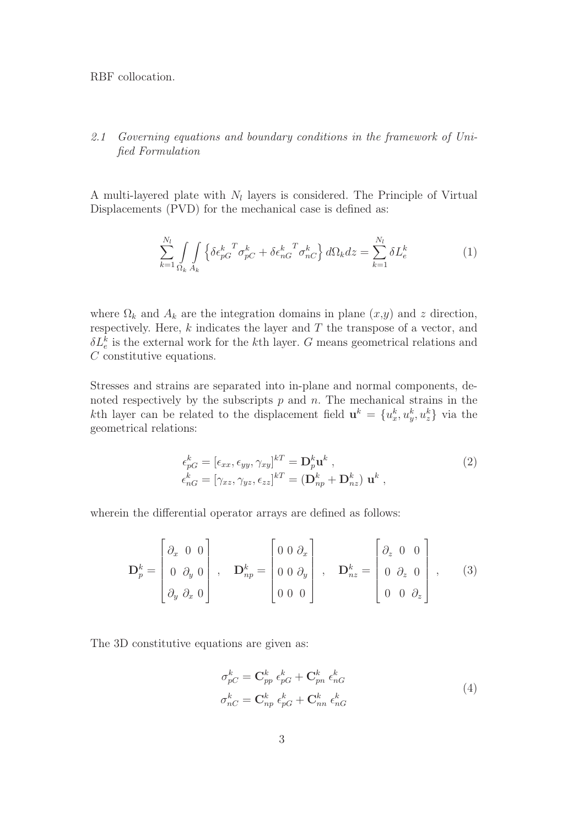RBF collocation.

## 2.1 Governing equations and boundary conditions in the framework of Unified Formulation

A multi-layered plate with  $N_l$  layers is considered. The Principle of Virtual Displacements (PVD) for the mechanical case is defined as:

$$
\sum_{k=1}^{N_l} \int_{\Omega_k} \int_{A_k} \left\{ \delta \epsilon_{pG}^k \sigma_{pC}^T + \delta \epsilon_{nG}^k \sigma_{nC}^T \right\} d\Omega_k dz = \sum_{k=1}^{N_l} \delta L_e^k \tag{1}
$$

where  $\Omega_k$  and  $A_k$  are the integration domains in plane  $(x,y)$  and z direction, respectively. Here,  $k$  indicates the layer and  $T$  the transpose of a vector, and  $\delta L_e^k$  is the external work for the *k*<sup>th</sup> layer. G means geometrical relations and C constitutive equations.

Stresses and strains are separated into in-plane and normal components, denoted respectively by the subscripts  $p$  and  $n$ . The mechanical strains in the kth layer can be related to the displacement field  $\mathbf{u}^k = \{u^k_x, u^k_y, u^k_z\}$  via the geometrical relations:

$$
\epsilon_{pG}^k = [\epsilon_{xx}, \epsilon_{yy}, \gamma_{xy}]^{kT} = \mathbf{D}_p^k \mathbf{u}^k ,
$$
  
\n
$$
\epsilon_{nG}^k = [\gamma_{xz}, \gamma_{yz}, \epsilon_{zz}]^{kT} = (\mathbf{D}_{np}^k + \mathbf{D}_{nz}^k) \mathbf{u}^k ,
$$
\n(2)

wherein the differential operator arrays are defined as follows:

$$
\mathbf{D}_{p}^{k} = \begin{bmatrix} \partial_{x} & 0 & 0 \\ 0 & \partial_{y} & 0 \\ \partial_{y} & \partial_{x} & 0 \end{bmatrix}, \quad \mathbf{D}_{np}^{k} = \begin{bmatrix} 0 & 0 & \partial_{x} \\ 0 & 0 & \partial_{y} \\ 0 & 0 & 0 \end{bmatrix}, \quad \mathbf{D}_{nz}^{k} = \begin{bmatrix} \partial_{z} & 0 & 0 \\ 0 & \partial_{z} & 0 \\ 0 & 0 & \partial_{z} \end{bmatrix}, \quad (3)
$$

The 3D constitutive equations are given as:

$$
\sigma_{pC}^{k} = \mathbf{C}_{pp}^{k} \epsilon_{pG}^{k} + \mathbf{C}_{pn}^{k} \epsilon_{nG}^{k}
$$
\n
$$
\sigma_{nC}^{k} = \mathbf{C}_{np}^{k} \epsilon_{pG}^{k} + \mathbf{C}_{nn}^{k} \epsilon_{nG}^{k}
$$
\n(4)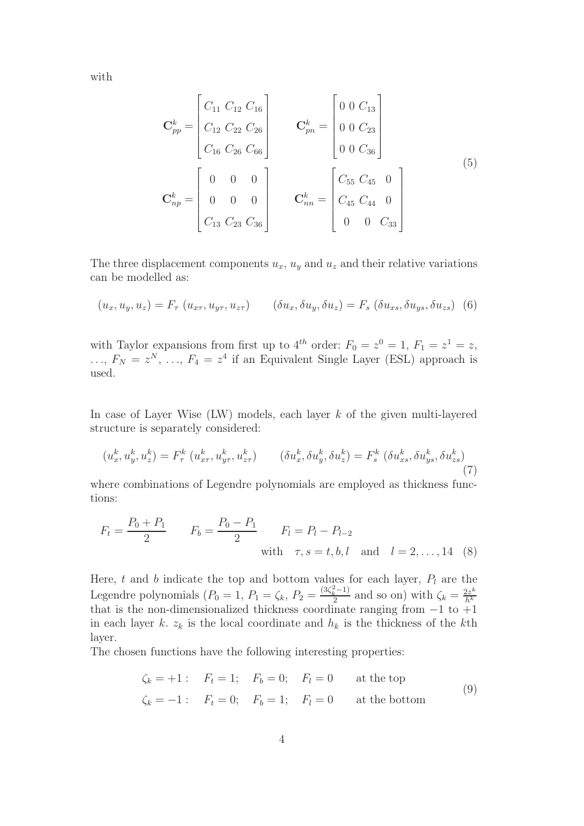with

$$
\mathbf{C}_{pp}^{k} = \begin{bmatrix} C_{11} & C_{12} & C_{16} \\ C_{12} & C_{22} & C_{26} \\ C_{16} & C_{26} & C_{66} \end{bmatrix} \qquad \mathbf{C}_{pn}^{k} = \begin{bmatrix} 0 & 0 & C_{13} \\ 0 & 0 & C_{23} \\ 0 & 0 & C_{36} \end{bmatrix}
$$
\n
$$
\mathbf{C}_{np}^{k} = \begin{bmatrix} 0 & 0 & 0 \\ 0 & 0 & 0 \\ 0 & 0 & 0 \\ C_{13} & C_{23} & C_{36} \end{bmatrix} \qquad \mathbf{C}_{nn}^{k} = \begin{bmatrix} C_{55} & C_{45} & 0 \\ C_{45} & C_{44} & 0 \\ 0 & 0 & C_{33} \end{bmatrix}
$$
\n(5)

The three displacement components  $u_x$ ,  $u_y$  and  $u_z$  and their relative variations can be modelled as:

$$
(u_x, u_y, u_z) = F_\tau (u_{x\tau}, u_{y\tau}, u_{z\tau}) \qquad (\delta u_x, \delta u_y, \delta u_z) = F_s (\delta u_{xs}, \delta u_{ys}, \delta u_{zs}) \tag{6}
$$

with Taylor expansions from first up to  $4^{th}$  order:  $F_0 = z^0 = 1, F_1 = z^1 = z$ ,  $\ldots, F_N = z^N, \ldots, F_4 = z^4$  if an Equivalent Single Layer (ESL) approach is used.

In case of Layer Wise  $(LW)$  models, each layer k of the given multi-layered structure is separately considered:

$$
(u_x^k, u_y^k, u_z^k) = F_\tau^k (u_{xx}^k, u_{y\tau}^k, u_{z\tau}^k) \qquad (\delta u_x^k, \delta u_y^k, \delta u_z^k) = F_s^k (\delta u_{xs}^k, \delta u_{ys}^k, \delta u_{zs}^k)
$$
\n(7)

where combinations of Legendre polynomials are employed as thickness functions:

$$
F_t = \frac{P_0 + P_1}{2} \qquad F_b = \frac{P_0 - P_1}{2} \qquad F_l = P_l - P_{l-2}
$$
  
with  $\tau, s = t, b, l$  and  $l = 2, ..., 14$  (8)

Here, t and b indicate the top and bottom values for each layer,  $P_l$  are the Legendre polynomials  $(P_0 = 1, P_1 = \zeta_k, P_2 = \frac{(3\zeta_k^2 - 1)}{2}$  $\frac{2}{2}$  and so on) with  $\zeta_k = \frac{2z^k}{h^k}$  $h^k$ that is the non-dimensionalized thickness coordinate ranging from −1 to +1 in each layer k.  $z_k$  is the local coordinate and  $h_k$  is the thickness of the kth layer.

The chosen functions have the following interesting properties:

$$
\zeta_k = +1: \quad F_t = 1; \quad F_b = 0; \quad F_l = 0 \quad \text{at the top}
$$
\n
$$
\zeta_k = -1: \quad F_t = 0; \quad F_b = 1; \quad F_l = 0 \quad \text{at the bottom}
$$
\n(9)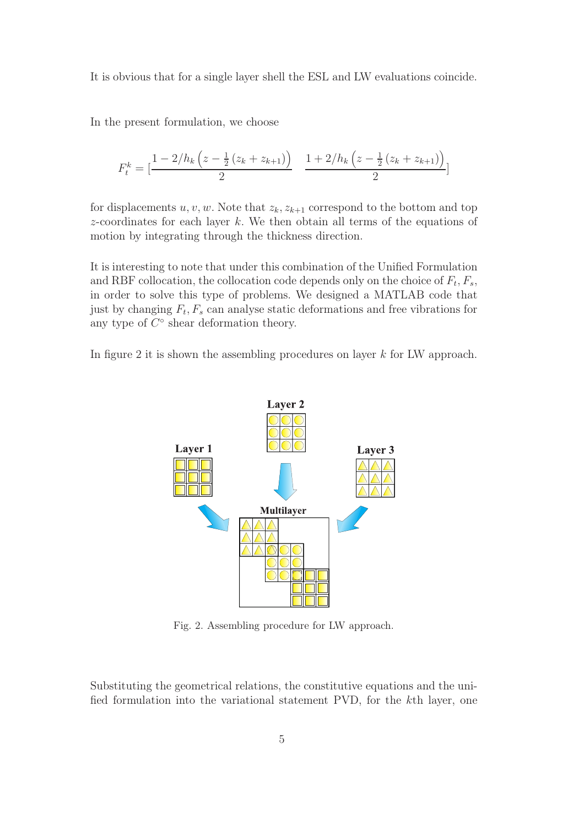It is obvious that for a single layer shell the ESL and LW evaluations coincide.

In the present formulation, we choose

$$
F_t^k = \left[\frac{1 - 2/h_k \left(z - \frac{1}{2} \left(z_k + z_{k+1}\right)\right)}{2} \quad \frac{1 + 2/h_k \left(z - \frac{1}{2} \left(z_k + z_{k+1}\right)\right)}{2}\right]
$$

for displacements  $u, v, w$ . Note that  $z_k, z_{k+1}$  correspond to the bottom and top  $z$ -coordinates for each layer k. We then obtain all terms of the equations of motion by integrating through the thickness direction.

It is interesting to note that under this combination of the Unified Formulation and RBF collocation, the collocation code depends only on the choice of  $F_t, F_s$ , in order to solve this type of problems. We designed a MATLAB code that just by changing  $F_t$ ,  $F_s$  can analyse static deformations and free vibrations for any type of  $\overline{C}^{\circ}$  shear deformation theory.

In figure 2 it is shown the assembling procedures on layer k for LW approach.



Fig. 2. Assembling procedure for LW approach.

Substituting the geometrical relations, the constitutive equations and the unified formulation into the variational statement PVD, for the kth layer, one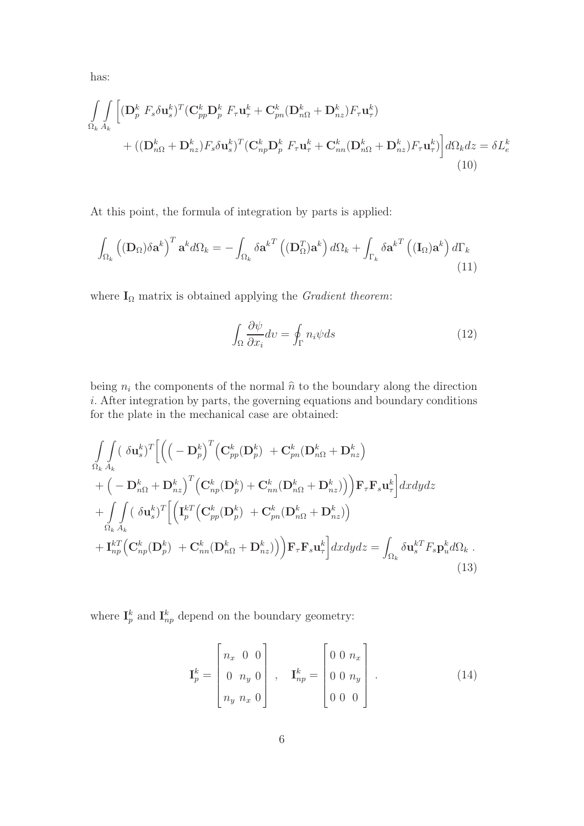has:

$$
\int_{\Omega_k} \int_{A_k} \left[ (\mathbf{D}_p^k \ F_s \delta \mathbf{u}_s^k)^T (\mathbf{C}_{pp}^k \mathbf{D}_p^k \ F_\tau \mathbf{u}_\tau^k + \mathbf{C}_{pn}^k (\mathbf{D}_{n\Omega}^k + \mathbf{D}_{nz}^k) F_\tau \mathbf{u}_\tau^k) + ((\mathbf{D}_{n\Omega}^k + \mathbf{D}_{nz}^k) F_s \delta \mathbf{u}_s^k)^T (\mathbf{C}_{np}^k \mathbf{D}_p^k \ F_\tau \mathbf{u}_\tau^k + \mathbf{C}_{nn}^k (\mathbf{D}_{n\Omega}^k + \mathbf{D}_{nz}^k) F_\tau \mathbf{u}_\tau^k) \right] d\Omega_k dz = \delta L_e^k
$$
\n(10)

At this point, the formula of integration by parts is applied:

$$
\int_{\Omega_k} \left( (\mathbf{D}_{\Omega}) \delta \mathbf{a}^k \right)^T \mathbf{a}^k d\Omega_k = - \int_{\Omega_k} \delta \mathbf{a}^{k} \left( (\mathbf{D}_{\Omega}^T) \mathbf{a}^k \right) d\Omega_k + \int_{\Gamma_k} \delta \mathbf{a}^{k} \left( (\mathbf{I}_{\Omega}) \mathbf{a}^k \right) d\Gamma_k
$$
\n(11)

where  $\mathbf{I}_\Omega$  matrix is obtained applying the  $Gradient~theorem;$ 

$$
\int_{\Omega} \frac{\partial \psi}{\partial x_i} dv = \oint_{\Gamma} n_i \psi ds \tag{12}
$$

being  $n_i$  the components of the normal  $\hat{n}$  to the boundary along the direction i. After integration by parts, the governing equations and boundary conditions for the plate in the mechanical case are obtained:

$$
\int_{\Omega_k} \int_{A_k} (\delta \mathbf{u}_s^k)^T \Big[ \Big( \Big( - \mathbf{D}_p^k \Big)^T \Big( \mathbf{C}_{pp}^k (\mathbf{D}_p^k) + \mathbf{C}_{pn}^k (\mathbf{D}_{n\Omega}^k + \mathbf{D}_{nz}^k) + \Big( - \mathbf{D}_{n\Omega}^k + \mathbf{D}_{nz}^k \Big)^T \Big( \mathbf{C}_{np}^k (\mathbf{D}_p^k) + \mathbf{C}_{nn}^k (\mathbf{D}_{n\Omega}^k + \mathbf{D}_{nz}^k) \Big) \Big) \mathbf{F}_{\tau} \mathbf{F}_s \mathbf{u}_{\tau}^k \Big] dxdydz + \int_{\Omega_k} \int_{A_k} (\delta \mathbf{u}_s^k)^T \Big[ \Big( \mathbf{I}_p^{kT} \Big( \mathbf{C}_{pp}^k (\mathbf{D}_p^k) + \mathbf{C}_{pn}^k (\mathbf{D}_{n\Omega}^k + \mathbf{D}_{nz}^k) \Big) + \mathbf{I}_{np}^{kT} \Big( \mathbf{C}_{np}^k (\mathbf{D}_p^k) + \mathbf{C}_{nn}^k (\mathbf{D}_{n\Omega}^k + \mathbf{D}_{nz}^k) \Big) \Big) \mathbf{F}_{\tau} \mathbf{F}_s \mathbf{u}_{\tau}^k \Big] dxdydz = \int_{\Omega_k} \delta \mathbf{u}_s^{kT} F_s \mathbf{p}_u^k d\Omega_k .
$$
\n(13)

where  $I_p^k$  and  $I_{np}^k$  depend on the boundary geometry:

$$
\mathbf{I}_{p}^{k} = \begin{bmatrix} n_{x} & 0 & 0 \\ 0 & n_{y} & 0 \\ n_{y} & n_{x} & 0 \end{bmatrix}, \quad \mathbf{I}_{np}^{k} = \begin{bmatrix} 0 & 0 & n_{x} \\ 0 & 0 & n_{y} \\ 0 & 0 & 0 \end{bmatrix}.
$$
 (14)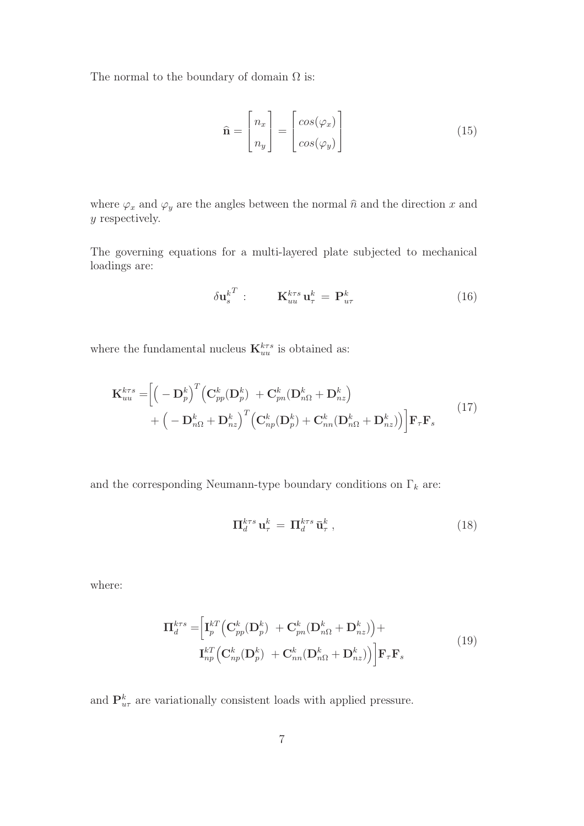The normal to the boundary of domain  $\Omega$  is:

$$
\hat{\mathbf{n}} = \begin{bmatrix} n_x \\ n_y \end{bmatrix} = \begin{bmatrix} \cos(\varphi_x) \\ \cos(\varphi_y) \end{bmatrix}
$$
\n(15)

where  $\varphi_x$  and  $\varphi_y$  are the angles between the normal  $\hat{n}$  and the direction x and y respectively.

The governing equations for a multi-layered plate subjected to mechanical loadings are:

$$
\delta \mathbf{u}_s^{k^T} : \qquad \mathbf{K}_{uu}^{k\tau s} \mathbf{u}_\tau^k = \mathbf{P}_{u\tau}^k \tag{16}
$$

where the fundamental nucleus  $\mathbf{K}_{uu}^{k\tau s}$  is obtained as:

$$
\mathbf{K}_{uu}^{k\tau s} = \left[ \left( -\mathbf{D}_p^k \right)^T \left( \mathbf{C}_{pp}^k (\mathbf{D}_p^k) + \mathbf{C}_{pn}^k (\mathbf{D}_{n\Omega}^k + \mathbf{D}_{nz}^k) + \left( -\mathbf{D}_{n\Omega}^k + \mathbf{D}_{nz}^k \right)^T \left( \mathbf{C}_{np}^k (\mathbf{D}_p^k) + \mathbf{C}_{nn}^k (\mathbf{D}_{n\Omega}^k + \mathbf{D}_{nz}^k) \right) \right] \mathbf{F}_{\tau} \mathbf{F}_s
$$
\n(17)

and the corresponding Neumann-type boundary conditions on  $\Gamma_k$  are:

$$
\Pi_d^{k\tau s} \mathbf{u}_\tau^k = \Pi_d^{k\tau s} \bar{\mathbf{u}}_\tau^k , \qquad (18)
$$

where:

$$
\Pi_d^{k\tau s} = \left[ \mathbf{I}_p^{kT} \left( \mathbf{C}_{pp}^k (\mathbf{D}_p^k) + \mathbf{C}_{pn}^k (\mathbf{D}_{n\Omega}^k + \mathbf{D}_{nz}^k) \right) + \right. \n\mathbf{I}_{np}^{kT} \left( \mathbf{C}_{np}^k (\mathbf{D}_p^k) + \mathbf{C}_{nn}^k (\mathbf{D}_{n\Omega}^k + \mathbf{D}_{nz}^k) \right) \left| \mathbf{F}_{\tau} \mathbf{F}_s \right. \tag{19}
$$

and  $\mathbf{P}_{u\tau}^{k}$  are variationally consistent loads with applied pressure.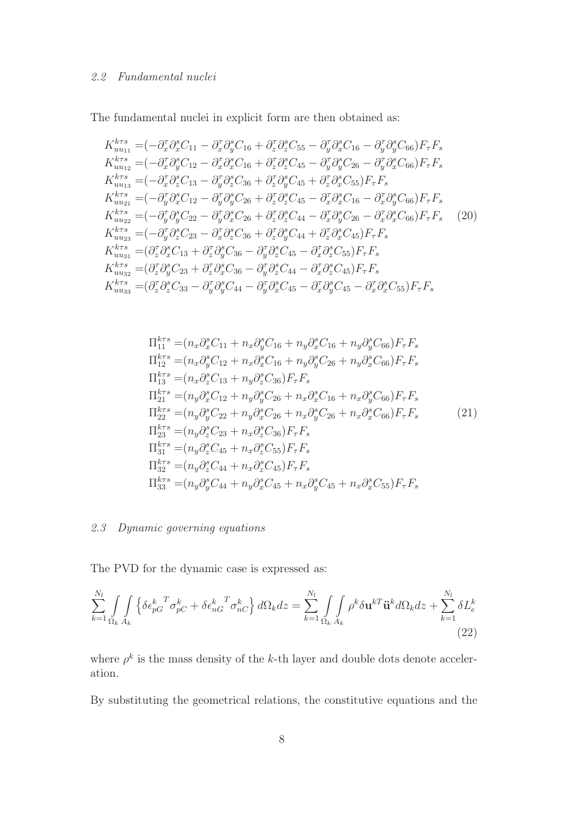The fundamental nuclei in explicit form are then obtained as:

$$
K_{uu_{11}}^{k\tau s} = (-\partial_x^{\tau} \partial_x^s C_{11} - \partial_x^{\tau} \partial_y^s C_{16} + \partial_z^{\tau} \partial_z^s C_{55} - \partial_y^{\tau} \partial_x^s C_{16} - \partial_y^{\tau} \partial_y^s C_{66}) F_{\tau} F_s \nK_{uu_{12}}^{k\tau s} = (-\partial_x^{\tau} \partial_y^s C_{12} - \partial_x^{\tau} \partial_x^s C_{16} + \partial_z^{\tau} \partial_z^s C_{45} - \partial_y^{\tau} \partial_y^s C_{26} - \partial_y^{\tau} \partial_x^s C_{66}) F_{\tau} F_s \nK_{uu_{13}}^{k\tau s} = (-\partial_x^{\tau} \partial_z^s C_{13} - \partial_y^{\tau} \partial_z^s C_{36} + \partial_z^{\tau} \partial_y^s C_{45} + \partial_z^{\tau} \partial_x^s C_{55}) F_{\tau} F_s \nK_{uu_{21}}^{k\tau s} = (-\partial_y^{\tau} \partial_x^s C_{12} - \partial_y^{\tau} \partial_y^s C_{26} + \partial_z^{\tau} \partial_z^s C_{45} - \partial_x^{\tau} \partial_x^s C_{16} - \partial_x^{\tau} \partial_y^s C_{66}) F_{\tau} F_s \nK_{uu_{22}}^{k\tau s} = (-\partial_y^{\tau} \partial_y^s C_{22} - \partial_y^{\tau} \partial_x^s C_{26} + \partial_z^{\tau} \partial_z^s C_{44} - \partial_x^{\tau} \partial_y^s C_{26} - \partial_x^{\tau} \partial_x^s C_{66}) F_{\tau} F_s
$$
\n
$$
K_{uu_{23}}^{k\tau s} = (-\partial_y^{\tau} \partial_z^s C_{23} - \partial_x^{\tau} \partial_z^s C_{36} + \partial_z^{\tau} \partial_y^s C_{44} + \partial_z^{\tau} \partial_x^s C_{45}) F_{\tau} F_s \nK_{uu_{31}}^{k\tau s} = (\partial_z^{\tau} \partial_x^s C_{13} + \partial_z^{\tau} \partial_x^s C_{36} - \partial_y^{\tau} \partial_z^s C_{45} - \partial_x^{\tau} \partial_z^s C_{55}) F_{\tau} F_s \nK_{uu
$$

$$
\Pi_{11}^{k\tau s} = (n_x \partial_x^s C_{11} + n_x \partial_y^s C_{16} + n_y \partial_x^s C_{16} + n_y \partial_y^s C_{66}) F_{\tau} F_s \n\Pi_{12}^{k\tau s} = (n_x \partial_y^s C_{12} + n_x \partial_x^s C_{16} + n_y \partial_y^s C_{26} + n_y \partial_x^s C_{66}) F_{\tau} F_s \n\Pi_{13}^{k\tau s} = (n_x \partial_z^s C_{13} + n_y \partial_z^s C_{36}) F_{\tau} F_s \n\Pi_{21}^{k\tau s} = (n_y \partial_x^s C_{12} + n_y \partial_y^s C_{26} + n_x \partial_x^s C_{16} + n_x \partial_y^s C_{66}) F_{\tau} F_s \n\Pi_{22}^{k\tau s} = (n_y \partial_y^s C_{22} + n_y \partial_x^s C_{26} + n_x \partial_y^s C_{26} + n_x \partial_x^s C_{66}) F_{\tau} F_s \n\Pi_{23}^{k\tau s} = (n_y \partial_z^s C_{23} + n_x \partial_z^s C_{36}) F_{\tau} F_s \n\Pi_{31}^{k\tau s} = (n_y \partial_z^s C_{45} + n_x \partial_z^s C_{55}) F_{\tau} F_s \n\Pi_{32}^{k\tau s} = (n_y \partial_z^s C_{44} + n_x \partial_z^s C_{45}) F_{\tau} F_s \n\Pi_{33}^{k\tau s} = (n_y \partial_y^s C_{44} + n_y \partial_x^s C_{45}) F_{\tau} F_s \n\Pi_{33}^{k\tau s} = (n_y \partial_y^s C_{44} + n_y \partial_x^s C_{45} + n_x \partial_y^s C_{45} + n_x \partial_x^s C_{55}) F_{\tau} F_s
$$

## 2.3 Dynamic governing equations

The PVD for the dynamic case is expressed as:

$$
\sum_{k=1}^{N_l} \int_{\Omega_k} \int_{A_k} \left\{ \delta \epsilon_{pG}^k \sigma_{pC}^T + \delta \epsilon_{nG}^k \sigma_{nC}^k \right\} d\Omega_k dz = \sum_{k=1}^{N_l} \int_{\Omega_k} \int_{A_k} \rho^k \delta \mathbf{u}^{kT} \ddot{\mathbf{u}}^k d\Omega_k dz + \sum_{k=1}^{N_l} \delta L_e^k
$$
\n(22)

where  $\rho^k$  is the mass density of the k-th layer and double dots denote acceleration.

By substituting the geometrical relations, the constitutive equations and the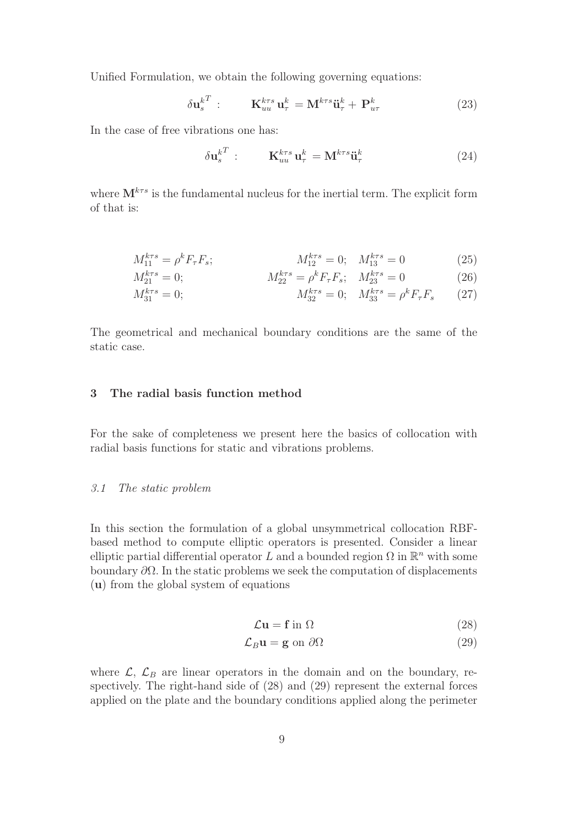Unified Formulation, we obtain the following governing equations:

$$
\delta \mathbf{u}_s^{k^T} : \qquad \mathbf{K}_{uu}^{k\tau s} \mathbf{u}_\tau^k = \mathbf{M}^{k\tau s} \ddot{\mathbf{u}}_\tau^k + \mathbf{P}_{u\tau}^k \tag{23}
$$

In the case of free vibrations one has:

$$
\delta \mathbf{u}_s^{k^T} : \qquad \mathbf{K}_{uu}^{k\tau s} \mathbf{u}_\tau^k = \mathbf{M}^{k\tau s} \ddot{\mathbf{u}}_\tau^k \tag{24}
$$

where  $\mathbf{M}^{k\tau s}$  is the fundamental nucleus for the inertial term. The explicit form of that is:

$$
M_{11}^{k\tau s} = \rho^k F_\tau F_s; \qquad M_{12}^{k\tau s} = 0; \quad M_{13}^{k\tau s} = 0 \tag{25}
$$

$$
M_{21}^{k\tau s} = 0; \qquad M_{22}^{k\tau s} = \rho^k F_\tau F_s; \quad M_{23}^{k\tau s} = 0 \tag{26}
$$

$$
M_{31}^{k\tau s} = 0; \qquad M_{32}^{k\tau s} = 0; \quad M_{33}^{k\tau s} = \rho^k F_\tau F_s \qquad (27)
$$

The geometrical and mechanical boundary conditions are the same of the static case.

## 3 The radial basis function method

For the sake of completeness we present here the basics of collocation with radial basis functions for static and vibrations problems.

## 3.1 The static problem

In this section the formulation of a global unsymmetrical collocation RBFbased method to compute elliptic operators is presented. Consider a linear elliptic partial differential operator L and a bounded region  $\Omega$  in  $\mathbb{R}^n$  with some boundary  $\partial\Omega$ . In the static problems we seek the computation of displacements (u) from the global system of equations

$$
\mathcal{L}\mathbf{u} = \mathbf{f} \text{ in } \Omega \tag{28}
$$

$$
\mathcal{L}_B \mathbf{u} = \mathbf{g} \text{ on } \partial \Omega \tag{29}
$$

where  $\mathcal{L}, \mathcal{L}_B$  are linear operators in the domain and on the boundary, respectively. The right-hand side of (28) and (29) represent the external forces applied on the plate and the boundary conditions applied along the perimeter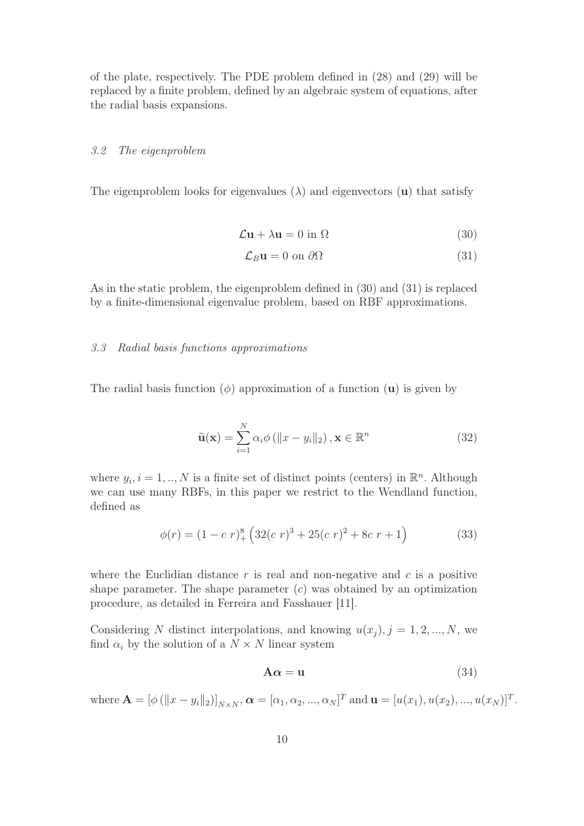of the plate, respectively. The PDE problem defined in (28) and (29) will be replaced by a finite problem, defined by an algebraic system of equations, after the radial basis expansions.

#### 3.2 The eigenproblem

The eigenproblem looks for eigenvalues  $(\lambda)$  and eigenvectors (u) that satisfy

$$
\mathcal{L}\mathbf{u} + \lambda \mathbf{u} = 0 \text{ in } \Omega \tag{30}
$$

$$
\mathcal{L}_B \mathbf{u} = 0 \text{ on } \partial \Omega \tag{31}
$$

As in the static problem, the eigenproblem defined in (30) and (31) is replaced by a finite-dimensional eigenvalue problem, based on RBF approximations.

#### 3.3 Radial basis functions approximations

The radial basis function  $(\phi)$  approximation of a function  $(\mathbf{u})$  is given by

$$
\tilde{\mathbf{u}}(\mathbf{x}) = \sum_{i=1}^{N} \alpha_i \phi \left( \|x - y_i\|_2 \right), \mathbf{x} \in \mathbb{R}^n \tag{32}
$$

where  $y_i$ ,  $i = 1, ..., N$  is a finite set of distinct points (centers) in  $\mathbb{R}^n$ . Although we can use many RBFs, in this paper we restrict to the Wendland function, defined as

$$
\phi(r) = (1 - c \ r)^8_+ \left( 32(c \ r)^3 + 25(c \ r)^2 + 8c \ r + 1 \right) \tag{33}
$$

where the Euclidian distance  $r$  is real and non-negative and  $c$  is a positive shape parameter. The shape parameter  $(c)$  was obtained by an optimization procedure, as detailed in Ferreira and Fasshauer [11].

Considering N distinct interpolations, and knowing  $u(x_j)$ ,  $j = 1, 2, ..., N$ , we find  $\alpha_i$  by the solution of a  $N \times N$  linear system

$$
A\alpha = u \tag{34}
$$

where  $\mathbf{A} = [\phi (\|x - y_i\|_2)]_{N \times N}, \boldsymbol{\alpha} = [\alpha_1, \alpha_2, ..., \alpha_N]^T$  and  $\mathbf{u} = [u(x_1), u(x_2), ..., u(x_N)]^T$ .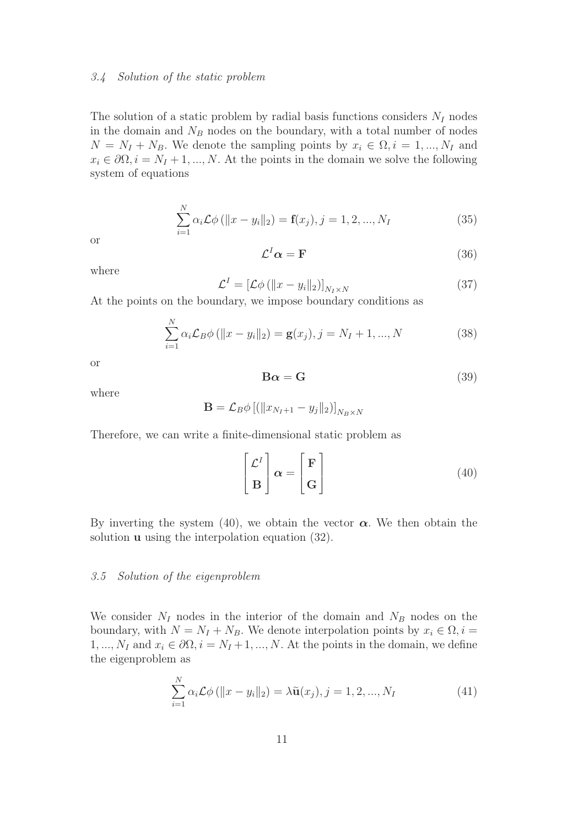#### 3.4 Solution of the static problem

The solution of a static problem by radial basis functions considers  $N_I$  nodes in the domain and  $N_B$  nodes on the boundary, with a total number of nodes  $N = N_I + N_B$ . We denote the sampling points by  $x_i \in \Omega, i = 1, ..., N_I$  and  $x_i \in \partial\Omega, i = N_I + 1, ..., N$ . At the points in the domain we solve the following system of equations

$$
\sum_{i=1}^{N} \alpha_i \mathcal{L} \phi \left( \|x - y_i\|_2 \right) = \mathbf{f}(x_j), j = 1, 2, ..., N_I
$$
 (35)

or

$$
\mathcal{L}^I \alpha = \mathbf{F} \tag{36}
$$

where

$$
\mathcal{L}^{I} = \left[ \mathcal{L}\phi \left( \|x - y_{i}\|_{2} \right) \right]_{N_{I} \times N} \tag{37}
$$

At the points on the boundary, we impose boundary conditions as

$$
\sum_{i=1}^{N} \alpha_i \mathcal{L}_B \phi \left( ||x - y_i||_2 \right) = \mathbf{g}(x_j), j = N_I + 1, ..., N
$$
 (38)

or

$$
\mathbf{B}\alpha = \mathbf{G} \tag{39}
$$

where

$$
\mathbf{B} = \mathcal{L}_B \phi \left[ \left( \|x_{N_I+1} - y_j\|_2 \right) \right]_{N_B \times N}
$$

Therefore, we can write a finite-dimensional static problem as

$$
\begin{bmatrix} \mathcal{L}^I \\ \mathbf{B} \end{bmatrix} \boldsymbol{\alpha} = \begin{bmatrix} \mathbf{F} \\ \mathbf{G} \end{bmatrix}
$$
 (40)

By inverting the system (40), we obtain the vector  $\alpha$ . We then obtain the solution **u** using the interpolation equation (32).

#### 3.5 Solution of the eigenproblem

We consider  $N_I$  nodes in the interior of the domain and  $N_B$  nodes on the boundary, with  $N = N_I + N_B$ . We denote interpolation points by  $x_i \in \Omega$ ,  $i =$ 1, ...,  $N_I$  and  $x_i \in \partial\Omega$ ,  $i = N_I + 1, ..., N$ . At the points in the domain, we define the eigenproblem as

$$
\sum_{i=1}^{N} \alpha_i \mathcal{L} \phi \left( \|x - y_i\|_2 \right) = \lambda \tilde{\mathbf{u}}(x_j), j = 1, 2, ..., N_I
$$
\n(41)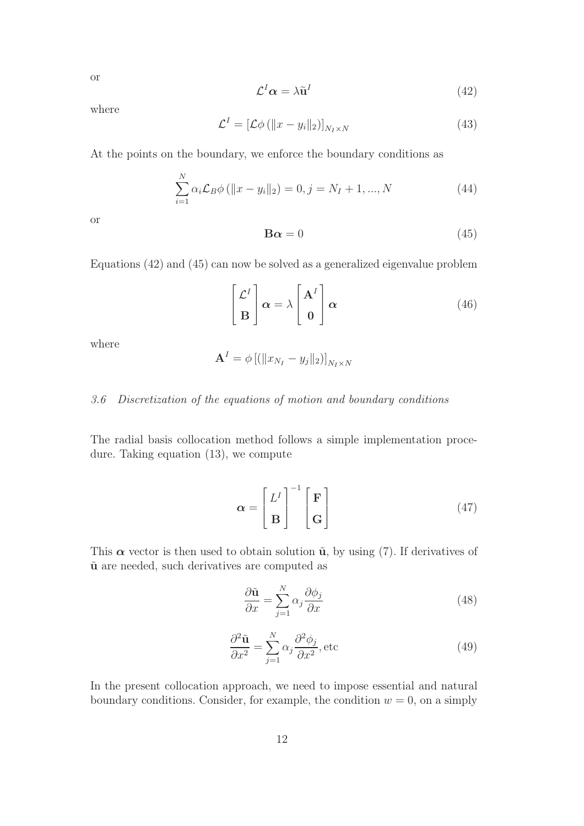or

$$
\mathcal{L}^I \alpha = \lambda \tilde{\mathbf{u}}^I \tag{42}
$$

where

$$
\mathcal{L}^{I} = \left[ \mathcal{L}\phi \left( \|x - y_{i}\|_{2} \right) \right]_{N_{I} \times N} \tag{43}
$$

At the points on the boundary, we enforce the boundary conditions as

$$
\sum_{i=1}^{N} \alpha_i \mathcal{L}_B \phi \left( \|x - y_i\|_2 \right) = 0, j = N_I + 1, ..., N \tag{44}
$$

or

$$
\mathbf{B}\alpha = 0\tag{45}
$$

Equations (42) and (45) can now be solved as a generalized eigenvalue problem

$$
\begin{bmatrix} \mathcal{L}^I \\ \mathbf{B} \end{bmatrix} \alpha = \lambda \begin{bmatrix} \mathbf{A}^I \\ \mathbf{0} \end{bmatrix} \alpha
$$
 (46)

where

$$
\mathbf{A}^{I}=\phi\left[\left(\|x_{N_{I}}-y_{j}\|_{2}\right)\right]_{N_{I}\times N}
$$

## 3.6 Discretization of the equations of motion and boundary conditions

The radial basis collocation method follows a simple implementation procedure. Taking equation (13), we compute

$$
\alpha = \begin{bmatrix} L^I \\ B \end{bmatrix}^{-1} \begin{bmatrix} \mathbf{F} \\ \mathbf{G} \end{bmatrix}
$$
 (47)

This  $\alpha$  vector is then used to obtain solution  $\tilde{u}$ , by using (7). If derivatives of  $\tilde{u}$  are needed, such derivatives are computed as

$$
\frac{\partial \tilde{\mathbf{u}}}{\partial x} = \sum_{j=1}^{N} \alpha_j \frac{\partial \phi_j}{\partial x}
$$
(48)

$$
\frac{\partial^2 \tilde{\mathbf{u}}}{\partial x^2} = \sum_{j=1}^N \alpha_j \frac{\partial^2 \phi_j}{\partial x^2}, \text{etc}
$$
 (49)

In the present collocation approach, we need to impose essential and natural boundary conditions. Consider, for example, the condition  $w = 0$ , on a simply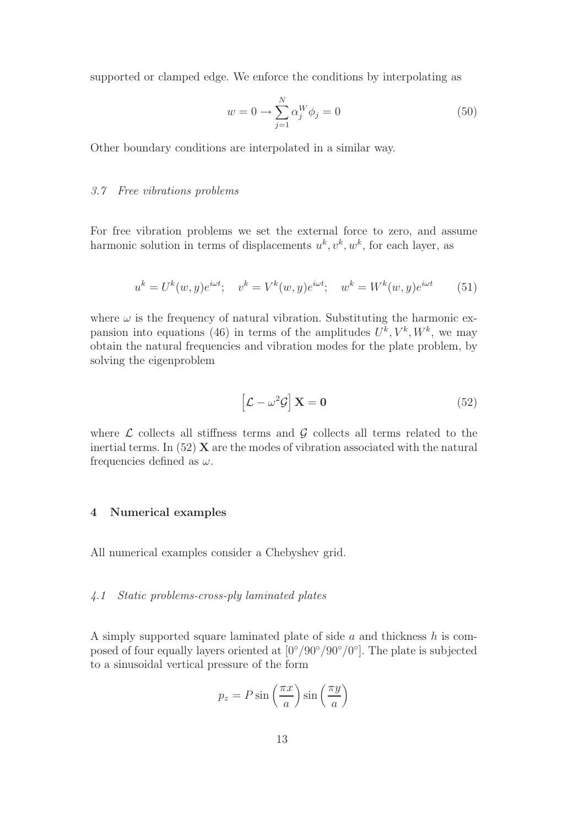supported or clamped edge. We enforce the conditions by interpolating as

$$
w = 0 \longrightarrow \sum_{j=1}^{N} \alpha_j^W \phi_j = 0 \tag{50}
$$

Other boundary conditions are interpolated in a similar way.

## 3.7 Free vibrations problems

For free vibration problems we set the external force to zero, and assume harmonic solution in terms of displacements  $u^k, v^k, w^k$ , for each layer, as

$$
u^{k} = U^{k}(w, y)e^{i\omega t}; \quad v^{k} = V^{k}(w, y)e^{i\omega t}; \quad w^{k} = W^{k}(w, y)e^{i\omega t}
$$
(51)

where  $\omega$  is the frequency of natural vibration. Substituting the harmonic expansion into equations (46) in terms of the amplitudes  $U^k$ ,  $V^k$ ,  $W^k$ , we may obtain the natural frequencies and vibration modes for the plate problem, by solving the eigenproblem

$$
\left[\mathcal{L} - \omega^2 \mathcal{G}\right] \mathbf{X} = \mathbf{0} \tag{52}
$$

where  $\mathcal L$  collects all stiffness terms and  $\mathcal G$  collects all terms related to the inertial terms. In  $(52)$  **X** are the modes of vibration associated with the natural frequencies defined as  $\omega$ .

## 4 Numerical examples

All numerical examples consider a Chebyshev grid.

## 4.1 Static problems-cross-ply laminated plates

A simply supported square laminated plate of side  $a$  and thickness  $h$  is composed of four equally layers oriented at  $[0^{\circ}/90^{\circ}/90^{\circ}/0^{\circ}]$ . The plate is subjected to a sinusoidal vertical pressure of the form

$$
p_z = P \sin\left(\frac{\pi x}{a}\right) \sin\left(\frac{\pi y}{a}\right)
$$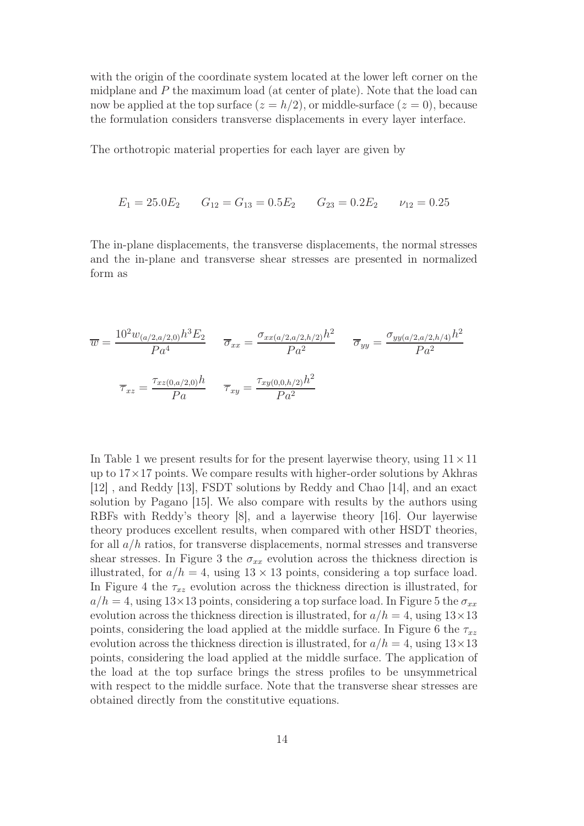with the origin of the coordinate system located at the lower left corner on the midplane and  $P$  the maximum load (at center of plate). Note that the load can now be applied at the top surface  $(z = h/2)$ , or middle-surface  $(z = 0)$ , because the formulation considers transverse displacements in every layer interface.

The orthotropic material properties for each layer are given by

$$
E_1 = 25.0E_2
$$
  $G_{12} = G_{13} = 0.5E_2$   $G_{23} = 0.2E_2$   $\nu_{12} = 0.25$ 

The in-plane displacements, the transverse displacements, the normal stresses and the in-plane and transverse shear stresses are presented in normalized form as

$$
\overline{w} = \frac{10^2 w_{(a/2, a/2, 0)} h^3 E_2}{P a^4} \qquad \overline{\sigma}_{xx} = \frac{\sigma_{xx(a/2, a/2, h/2)} h^2}{P a^2} \qquad \overline{\sigma}_{yy} = \frac{\sigma_{yy(a/2, a/2, h/4)} h^2}{P a^2}
$$
\n
$$
\overline{\tau}_{xz} = \frac{\tau_{xz(0, a/2, 0)} h}{P a} \qquad \overline{\tau}_{xy} = \frac{\tau_{xy(0, 0, h/2)} h^2}{P a^2}
$$

In Table 1 we present results for for the present layerwise theory, using  $11 \times 11$ up to  $17 \times 17$  points. We compare results with higher-order solutions by Akhras [12] , and Reddy [13], FSDT solutions by Reddy and Chao [14], and an exact solution by Pagano [15]. We also compare with results by the authors using RBFs with Reddy's theory [8], and a layerwise theory [16]. Our layerwise theory produces excellent results, when compared with other HSDT theories, for all  $a/h$  ratios, for transverse displacements, normal stresses and transverse shear stresses. In Figure 3 the  $\sigma_{xx}$  evolution across the thickness direction is illustrated, for  $a/h = 4$ , using  $13 \times 13$  points, considering a top surface load. In Figure 4 the  $\tau_{xz}$  evolution across the thickness direction is illustrated, for  $a/h = 4$ , using 13×13 points, considering a top surface load. In Figure 5 the  $\sigma_{xx}$ evolution across the thickness direction is illustrated, for  $a/h = 4$ , using  $13 \times 13$ points, considering the load applied at the middle surface. In Figure 6 the  $\tau_{xz}$ evolution across the thickness direction is illustrated, for  $a/h = 4$ , using  $13 \times 13$ points, considering the load applied at the middle surface. The application of the load at the top surface brings the stress profiles to be unsymmetrical with respect to the middle surface. Note that the transverse shear stresses are obtained directly from the constitutive equations.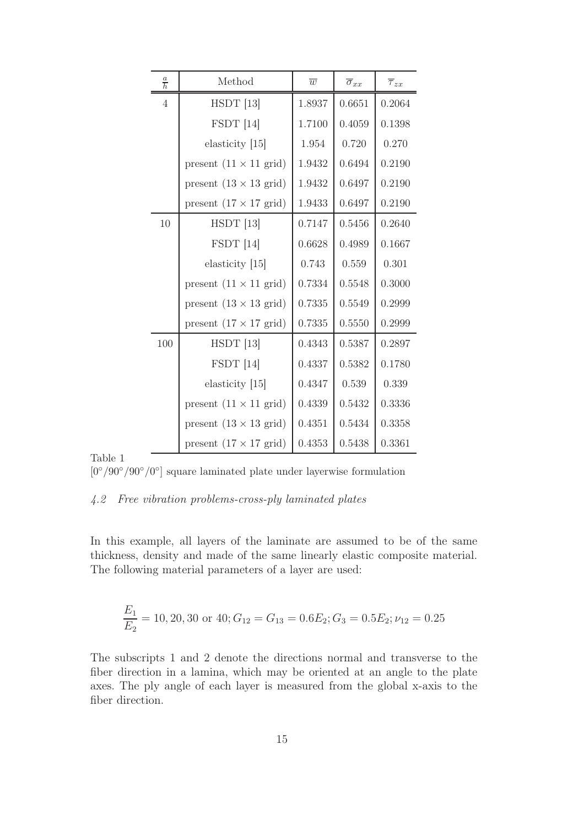| $\frac{a}{h}$  | Method                                | $\overline{w}$ | $\overline{\sigma}_{xx}$ | $\overline{\tau}_{zx}$ |  |
|----------------|---------------------------------------|----------------|--------------------------|------------------------|--|
| $\overline{4}$ | $HSDT$ [13]                           | 1.8937         | 0.6651                   | 0.2064                 |  |
|                | $FSDT$ [14]                           | 1.7100         | 0.4059                   | 0.1398                 |  |
|                | elasticity [15]                       | 1.954          | 0.720                    | 0.270                  |  |
|                | present $(11 \times 11 \text{ grid})$ | 1.9432         | 0.6494                   | 0.2190                 |  |
|                | present $(13 \times 13 \text{ grid})$ | 1.9432         | 0.6497                   | 0.2190                 |  |
|                | present $(17 \times 17 \text{ grid})$ | 1.9433         | 0.6497                   | 0.2190                 |  |
| 10             | $HSDT$ [13]                           | 0.7147         | 0.5456                   | 0.2640                 |  |
|                | $FSDT$ [14]                           | 0.6628         | 0.4989                   | 0.1667                 |  |
|                | elasticity $[15]$                     | 0.743          | 0.559                    | 0.301                  |  |
|                | present $(11 \times 11 \text{ grid})$ | 0.7334         | 0.5548                   | 0.3000                 |  |
|                | present $(13 \times 13 \text{ grid})$ | 0.7335         | 0.5549                   | 0.2999                 |  |
|                | present $(17 \times 17 \text{ grid})$ | 0.7335         | 0.5550                   | 0.2999                 |  |
| 100            | $HSDT$ [13]                           | 0.4343         | 0.5387                   | 0.2897                 |  |
|                | $FSDT$ [14]                           | 0.4337         | 0.5382                   | 0.1780                 |  |
|                | elasticity $[15]$                     | 0.4347         | 0.539                    | 0.339                  |  |
|                | present $(11 \times 11 \text{ grid})$ | 0.4339         | 0.5432                   | 0.3336                 |  |
|                | present $(13 \times 13 \text{ grid})$ | 0.4351         | 0.5434                   | 0.3358                 |  |
|                | present $(17 \times 17 \text{ grid})$ | 0.4353         | 0.5438                   | 0.3361                 |  |

Table 1

[0°/90°/90°/0°] square laminated plate under layerwise formulation

## 4.2 Free vibration problems-cross-ply laminated plates

In this example, all layers of the laminate are assumed to be of the same thickness, density and made of the same linearly elastic composite material. The following material parameters of a layer are used:

$$
\frac{E_1}{E_2} = 10, 20, 30 \text{ or } 40; G_{12} = G_{13} = 0.6E_2; G_3 = 0.5E_2; \nu_{12} = 0.25
$$

The subscripts 1 and 2 denote the directions normal and transverse to the fiber direction in a lamina, which may be oriented at an angle to the plate axes. The ply angle of each layer is measured from the global x-axis to the fiber direction.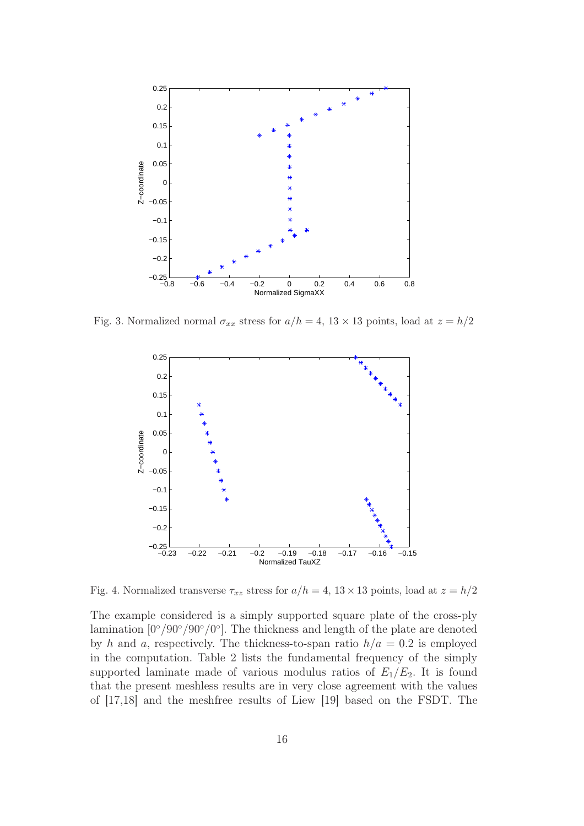

Fig. 3. Normalized normal  $\sigma_{xx}$  stress for  $a/h = 4$ ,  $13 \times 13$  points, load at  $z = h/2$ 



Fig. 4. Normalized transverse  $\tau_{xz}$  stress for  $a/h = 4$ ,  $13 \times 13$  points, load at  $z = h/2$ 

The example considered is a simply supported square plate of the cross-ply lamination  $[0^{\circ}/90^{\circ}/90^{\circ}/0^{\circ}]$ . The thickness and length of the plate are denoted by h and a, respectively. The thickness-to-span ratio  $h/a = 0.2$  is employed in the computation. Table 2 lists the fundamental frequency of the simply supported laminate made of various modulus ratios of  $E_1/E_2$ . It is found that the present meshless results are in very close agreement with the values of [17,18] and the meshfree results of Liew [19] based on the FSDT. The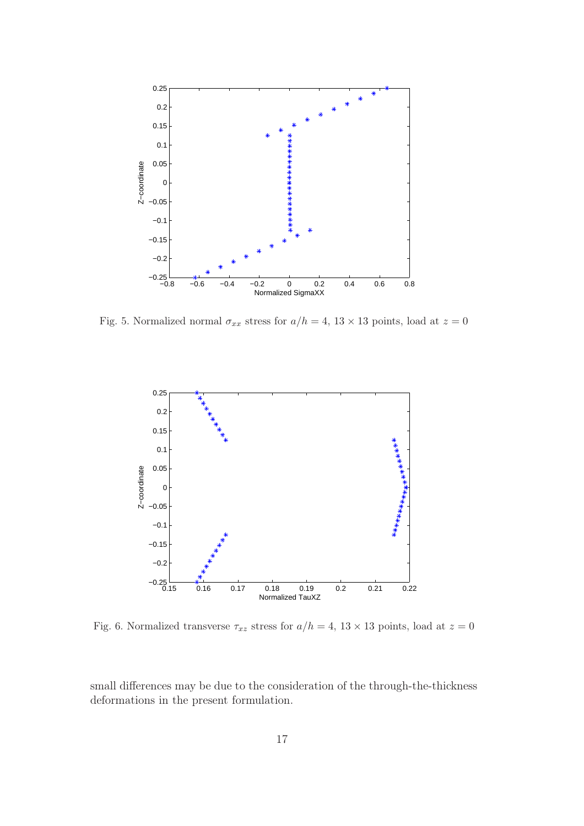

Fig. 5. Normalized normal  $\sigma_{xx}$  stress for  $a/h = 4$ ,  $13 \times 13$  points, load at  $z = 0$ 



Fig. 6. Normalized transverse  $\tau_{xz}$  stress for  $a/h = 4$ ,  $13 \times 13$  points, load at  $z = 0$ 

small differences may be due to the consideration of the through-the-thickness deformations in the present formulation.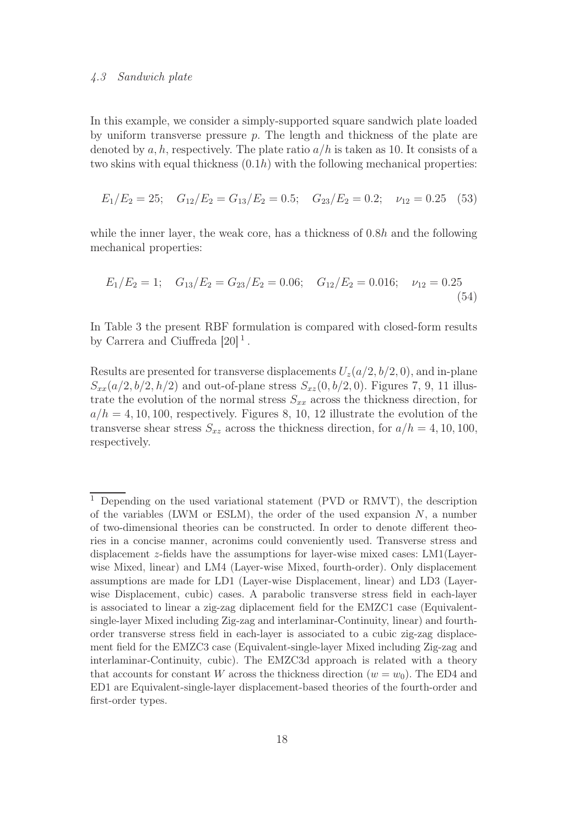#### 4.3 Sandwich plate

In this example, we consider a simply-supported square sandwich plate loaded by uniform transverse pressure  $p$ . The length and thickness of the plate are denoted by a, h, respectively. The plate ratio  $a/h$  is taken as 10. It consists of a two skins with equal thickness  $(0.1h)$  with the following mechanical properties:

$$
E_1/E_2 = 25; \quad G_{12}/E_2 = G_{13}/E_2 = 0.5; \quad G_{23}/E_2 = 0.2; \quad \nu_{12} = 0.25 \quad (53)
$$

while the inner layer, the weak core, has a thickness of 0.8h and the following mechanical properties:

$$
E_1/E_2 = 1; \quad G_{13}/E_2 = G_{23}/E_2 = 0.06; \quad G_{12}/E_2 = 0.016; \quad \nu_{12} = 0.25
$$
\n
$$
(54)
$$

In Table 3 the present RBF formulation is compared with closed-form results by Carrera and Ciuffreda  $[20]$ <sup>1</sup>.

Results are presented for transverse displacements  $U_z(a/2, b/2, 0)$ , and in-plane  $S_{xx}(a/2, b/2, h/2)$  and out-of-plane stress  $S_{xz}(0, b/2, 0)$ . Figures 7, 9, 11 illustrate the evolution of the normal stress  $S_{xx}$  across the thickness direction, for  $a/h = 4, 10, 100$ , respectively. Figures 8, 10, 12 illustrate the evolution of the transverse shear stress  $S_{xz}$  across the thickness direction, for  $a/h = 4, 10, 100$ , respectively.

<sup>&</sup>lt;sup>1</sup> Depending on the used variational statement (PVD or RMVT), the description of the variables (LWM or ESLM), the order of the used expansion  $N$ , a number of two-dimensional theories can be constructed. In order to denote different theories in a concise manner, acronims could conveniently used. Transverse stress and displacement z-fields have the assumptions for layer-wise mixed cases: LM1(Layerwise Mixed, linear) and LM4 (Layer-wise Mixed, fourth-order). Only displacement assumptions are made for LD1 (Layer-wise Displacement, linear) and LD3 (Layerwise Displacement, cubic) cases. A parabolic transverse stress field in each-layer is associated to linear a zig-zag diplacement field for the EMZC1 case (Equivalentsingle-layer Mixed including Zig-zag and interlaminar-Continuity, linear) and fourthorder transverse stress field in each-layer is associated to a cubic zig-zag displacement field for the EMZC3 case (Equivalent-single-layer Mixed including Zig-zag and interlaminar-Continuity, cubic). The EMZC3d approach is related with a theory that accounts for constant W across the thickness direction  $(w = w_0)$ . The ED4 and ED1 are Equivalent-single-layer displacement-based theories of the fourth-order and first-order types.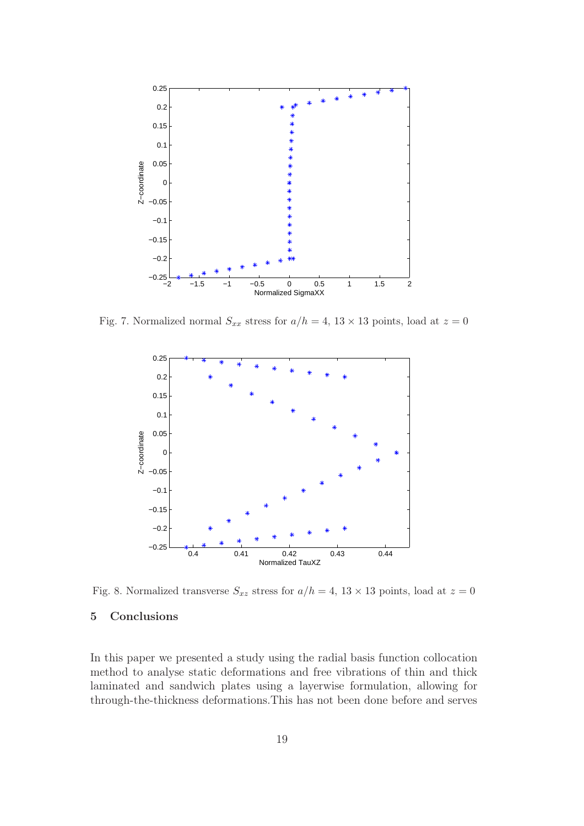

Fig. 7. Normalized normal  $S_{xx}$  stress for  $a/h = 4$ ,  $13 \times 13$  points, load at  $z = 0$ 



Fig. 8. Normalized transverse  $S_{xz}$  stress for  $a/h = 4$ ,  $13 \times 13$  points, load at  $z = 0$ 

## 5 Conclusions

In this paper we presented a study using the radial basis function collocation method to analyse static deformations and free vibrations of thin and thick laminated and sandwich plates using a layerwise formulation, allowing for through-the-thickness deformations.This has not been done before and serves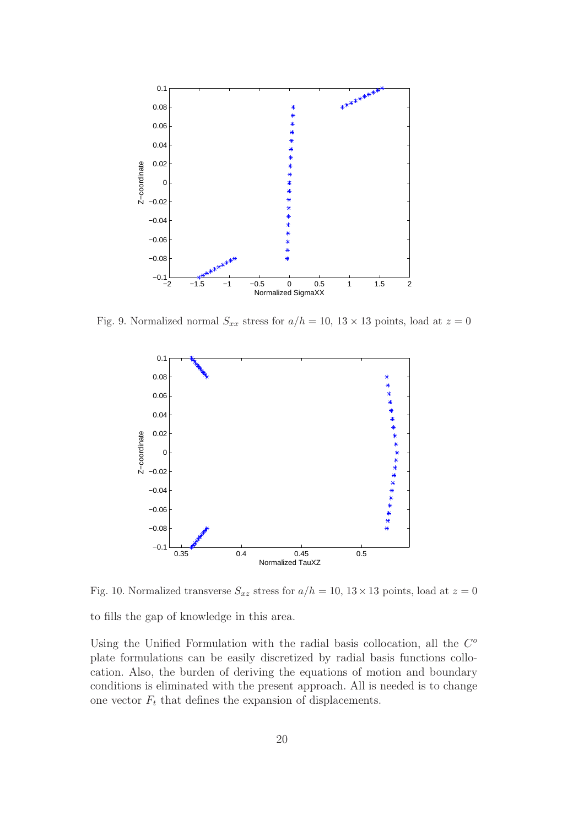

Fig. 9. Normalized normal  $S_{xx}$  stress for  $a/h = 10$ ,  $13 \times 13$  points, load at  $z = 0$ 



Fig. 10. Normalized transverse  $S_{xz}$  stress for  $a/h = 10, 13 \times 13$  points, load at  $z = 0$ 

to fills the gap of knowledge in this area.

Using the Unified Formulation with the radial basis collocation, all the  $C<sup>o</sup>$ plate formulations can be easily discretized by radial basis functions collocation. Also, the burden of deriving the equations of motion and boundary conditions is eliminated with the present approach. All is needed is to change one vector  $F_t$  that defines the expansion of displacements.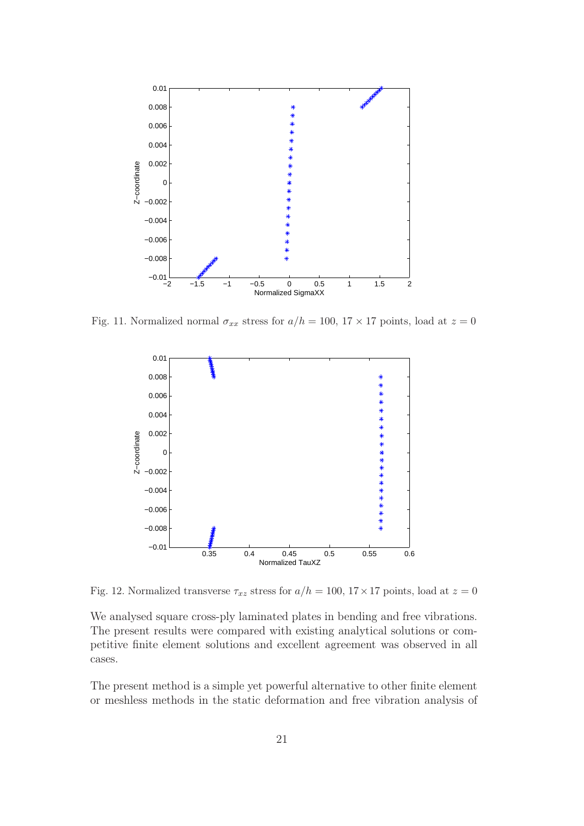

Fig. 11. Normalized normal  $\sigma_{xx}$  stress for  $a/h = 100$ ,  $17 \times 17$  points, load at  $z = 0$ 



Fig. 12. Normalized transverse  $\tau_{xz}$  stress for  $a/h = 100, 17 \times 17$  points, load at  $z = 0$ 

We analysed square cross-ply laminated plates in bending and free vibrations. The present results were compared with existing analytical solutions or competitive finite element solutions and excellent agreement was observed in all cases.

The present method is a simple yet powerful alternative to other finite element or meshless methods in the static deformation and free vibration analysis of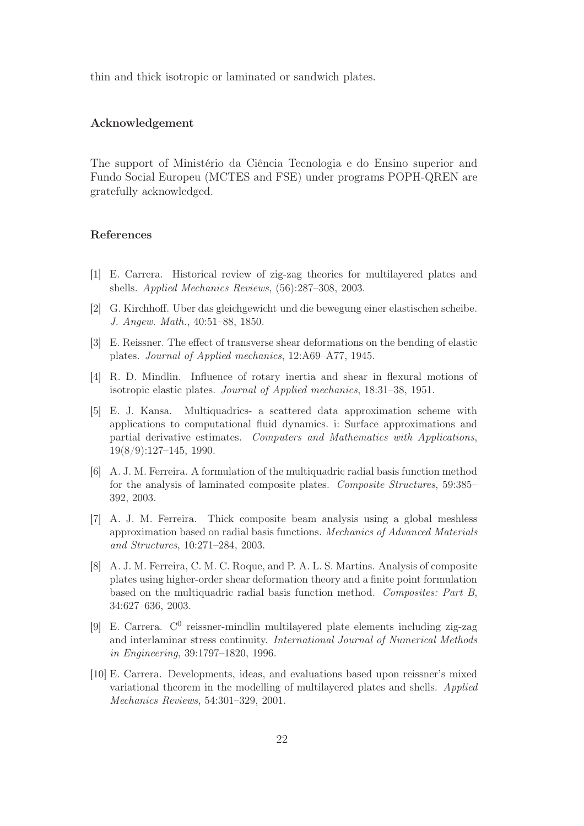thin and thick isotropic or laminated or sandwich plates.

#### Acknowledgement

The support of Ministério da Ciência Tecnologia e do Ensino superior and Fundo Social Europeu (MCTES and FSE) under programs POPH-QREN are gratefully acknowledged.

#### References

- [1] E. Carrera. Historical review of zig-zag theories for multilayered plates and shells. *Applied Mechanics Reviews*, (56):287–308, 2003.
- [2] G. Kirchhoff. Uber das gleichgewicht und die bewegung einer elastischen scheibe. *J. Angew. Math.*, 40:51–88, 1850.
- [3] E. Reissner. The effect of transverse shear deformations on the bending of elastic plates. *Journal of Applied mechanics*, 12:A69–A77, 1945.
- [4] R. D. Mindlin. Influence of rotary inertia and shear in flexural motions of isotropic elastic plates. *Journal of Applied mechanics*, 18:31–38, 1951.
- [5] E. J. Kansa. Multiquadrics- a scattered data approximation scheme with applications to computational fluid dynamics. i: Surface approximations and partial derivative estimates. *Computers and Mathematics with Applications*, 19(8/9):127–145, 1990.
- [6] A. J. M. Ferreira. A formulation of the multiquadric radial basis function method for the analysis of laminated composite plates. *Composite Structures*, 59:385– 392, 2003.
- [7] A. J. M. Ferreira. Thick composite beam analysis using a global meshless approximation based on radial basis functions. *Mechanics of Advanced Materials and Structures*, 10:271–284, 2003.
- [8] A. J. M. Ferreira, C. M. C. Roque, and P. A. L. S. Martins. Analysis of composite plates using higher-order shear deformation theory and a finite point formulation based on the multiquadric radial basis function method. *Composites: Part B*, 34:627–636, 2003.
- [9] E. Carrera. C<sup>0</sup> reissner-mindlin multilayered plate elements including zig-zag and interlaminar stress continuity. *International Journal of Numerical Methods in Engineering*, 39:1797–1820, 1996.
- [10] E. Carrera. Developments, ideas, and evaluations based upon reissner's mixed variational theorem in the modelling of multilayered plates and shells. *Applied Mechanics Reviews*, 54:301–329, 2001.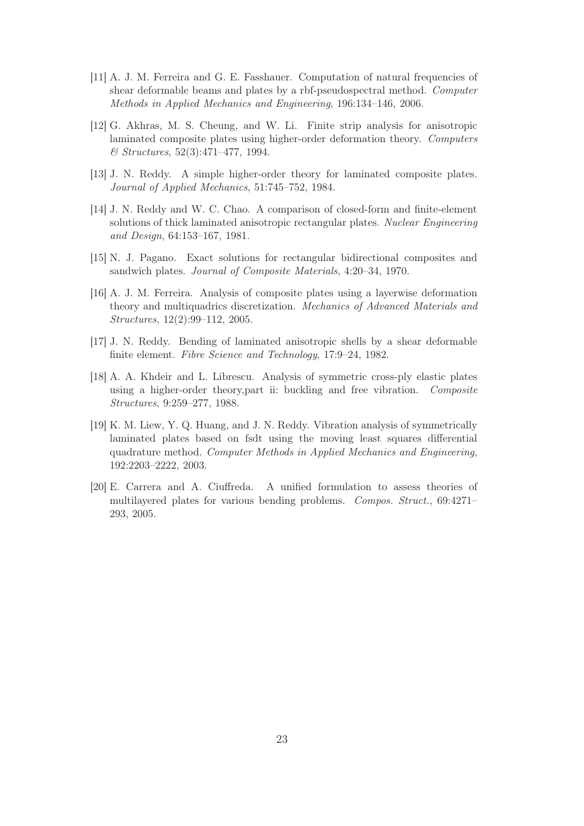- [11] A. J. M. Ferreira and G. E. Fasshauer. Computation of natural frequencies of shear deformable beams and plates by a rbf-pseudospectral method. *Computer Methods in Applied Mechanics and Engineering*, 196:134–146, 2006.
- [12] G. Akhras, M. S. Cheung, and W. Li. Finite strip analysis for anisotropic laminated composite plates using higher-order deformation theory. *Computers & Structures*, 52(3):471–477, 1994.
- [13] J. N. Reddy. A simple higher-order theory for laminated composite plates. *Journal of Applied Mechanics*, 51:745–752, 1984.
- [14] J. N. Reddy and W. C. Chao. A comparison of closed-form and finite-element solutions of thick laminated anisotropic rectangular plates. *Nuclear Engineering and Design*, 64:153–167, 1981.
- [15] N. J. Pagano. Exact solutions for rectangular bidirectional composites and sandwich plates. *Journal of Composite Materials*, 4:20–34, 1970.
- [16] A. J. M. Ferreira. Analysis of composite plates using a layerwise deformation theory and multiquadrics discretization. *Mechanics of Advanced Materials and Structures*, 12(2):99–112, 2005.
- [17] J. N. Reddy. Bending of laminated anisotropic shells by a shear deformable finite element. *Fibre Science and Technology*, 17:9–24, 1982.
- [18] A. A. Khdeir and L. Librescu. Analysis of symmetric cross-ply elastic plates using a higher-order theory,part ii: buckling and free vibration. *Composite Structures*, 9:259–277, 1988.
- [19] K. M. Liew, Y. Q. Huang, and J. N. Reddy. Vibration analysis of symmetrically laminated plates based on fsdt using the moving least squares differential quadrature method. *Computer Methods in Applied Mechanics and Engineering*, 192:2203–2222, 2003.
- [20] E. Carrera and A. Ciuffreda. A unified formulation to assess theories of multilayered plates for various bending problems. *Compos. Struct.*, 69:4271– 293, 2005.